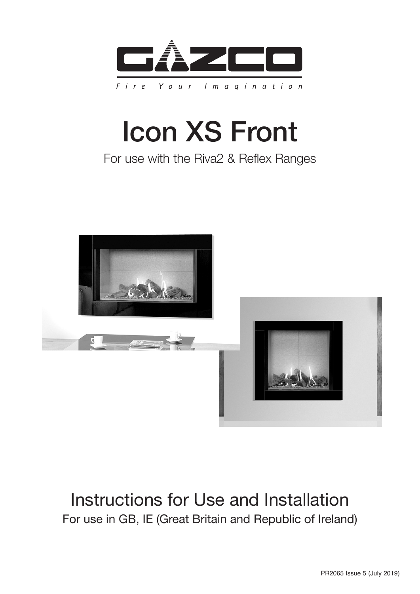

# Icon XS Front

## For use with the Riva2 & Reflex Ranges



# Instructions for Use and Installation For use in GB, IE (Great Britain and Republic of Ireland)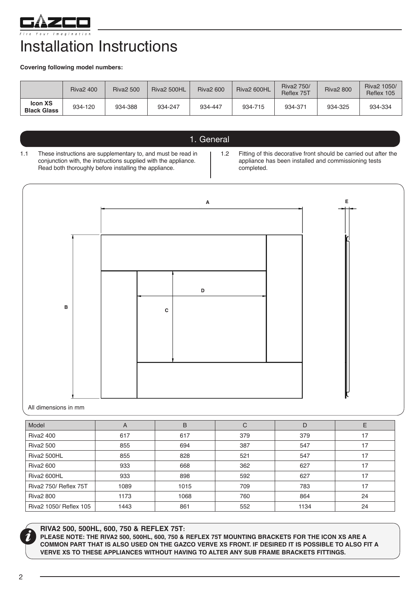

# Installation Instructions

**Covering following model numbers:** 

|                                      | <b>Riva2 400</b> | <b>Riva2 500</b> | Riva2 500HL | <b>Riva2 600</b> | Riva2 600HL | <b>Riva2 750/</b><br>Reflex 75T | <b>Riva2 800</b> | Riva2 1050/<br>Reflex 105 |
|--------------------------------------|------------------|------------------|-------------|------------------|-------------|---------------------------------|------------------|---------------------------|
| <b>Icon XS</b><br><b>Black Glass</b> | 934-120          | 934-388          | 934-247     | 934-447          | 934-715     | 934-371                         | 934-325          | 934-334                   |

### 1. General

1.1 These instructions are supplementary to, and must be read in conjunction with, the instructions supplied with the appliance. Read both thoroughly before installing the appliance.

1.2 Fitting of this decorative front should be carried out after the appliance has been installed and commissioning tests completed.



All dimensions in mm

| Model                        | A    | B    | С   | D    | Е  |
|------------------------------|------|------|-----|------|----|
| <b>Riva2 400</b>             | 617  | 617  | 379 | 379  | 17 |
| <b>Riva2 500</b>             | 855  | 694  | 387 | 547  | 17 |
| Riva2 500HL                  | 855  | 828  | 521 | 547  | 17 |
| <b>Riva2 600</b>             | 933  | 668  | 362 | 627  | 17 |
| Riva2 600HL                  | 933  | 898  | 592 | 627  | 17 |
| <b>Riva2 750/ Reflex 75T</b> | 1089 | 1015 | 709 | 783  | 17 |
| 1173<br><b>Riva2 800</b>     |      | 1068 | 760 | 864  | 24 |
| Riva2 1050/ Reflex 105       | 1443 | 861  | 552 | 1134 | 24 |

**RIVA2 500, 500HL, 600, 750 & REFLEX 75T:**

**PLEASE NOTE: THE RIVA2 500, 500HL, 600, 750 & REFLEX 75T MOUNTING BRACKETS FOR THE ICON XS ARE A COMMON PART THAT IS ALSO USED ON THE GAZCO VERVE XS FRONT. IF DESIRED IT IS POSSIBLE TO ALSO FIT A VERVE XS TO THESE APPLIANCES WITHOUT HAVING TO ALTER ANY SUB FRAME BRACKETS FITTINGS.**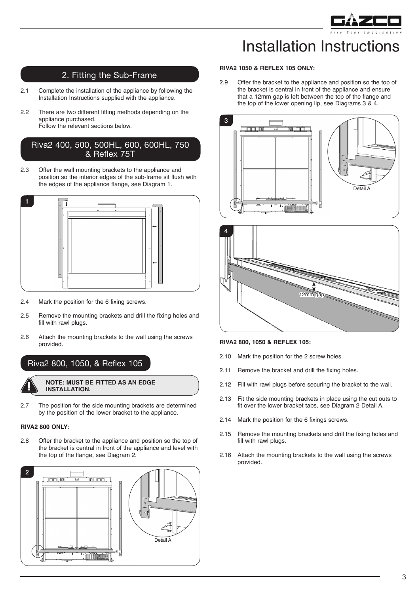

# Installation Instructions

### 2. Fitting the Sub-Frame

- 2.1 Complete the installation of the appliance by following the Installation Instructions supplied with the appliance.
- 2.2 There are two different fitting methods depending on the appliance purchased. Follow the relevant sections below.

#### Riva2 400, 500, 500HL, 600, 600HL, 750 & Reflex 75T

2.3 Offer the wall mounting brackets to the appliance and position so the interior edges of the sub-frame sit flush with the edges of the appliance flange, see Diagram 1.



- 2.4 Mark the position for the 6 fixing screws.
- 2.5 Remove the mounting brackets and drill the fixing holes and fill with rawl plugs.
- 2.6 Attach the mounting brackets to the wall using the screws provided.

Riva2 800, 1050, & Reflex 105

**NOTE: MUST BE FITTED AS AN EDGE** 

- **INSTALLATION.**
- 2.7 The position for the side mounting brackets are determined by the position of the lower bracket to the appliance.

#### **RIVA2 800 ONLY:**

2.8 Offer the bracket to the appliance and position so the top of the bracket is central in front of the appliance and level with the top of the flange, see Diagram 2.



#### **RIVA2 1050 & REFLEX 105 ONLY:**

2.9 Offer the bracket to the appliance and position so the top of the bracket is central in front of the appliance and ensure that a 12mm gap is left between the top of the flange and the top of the lower opening lip, see Diagrams 3 & 4.





#### **RIVA2 800, 1050 & REFLEX 105:**

- 2.10 Mark the position for the 2 screw holes.
- 2.11 Remove the bracket and drill the fixing holes.
- 2.12 Fill with rawl plugs before securing the bracket to the wall.
- 2.13 Fit the side mounting brackets in place using the cut outs to fit over the lower bracket tabs, see Diagram 2 Detail A.
- 2.14 Mark the position for the 6 fixings screws.
- 2.15 Remove the mounting brackets and drill the fixing holes and fill with rawl plugs.
- 2.16 Attach the mounting brackets to the wall using the screws provided.